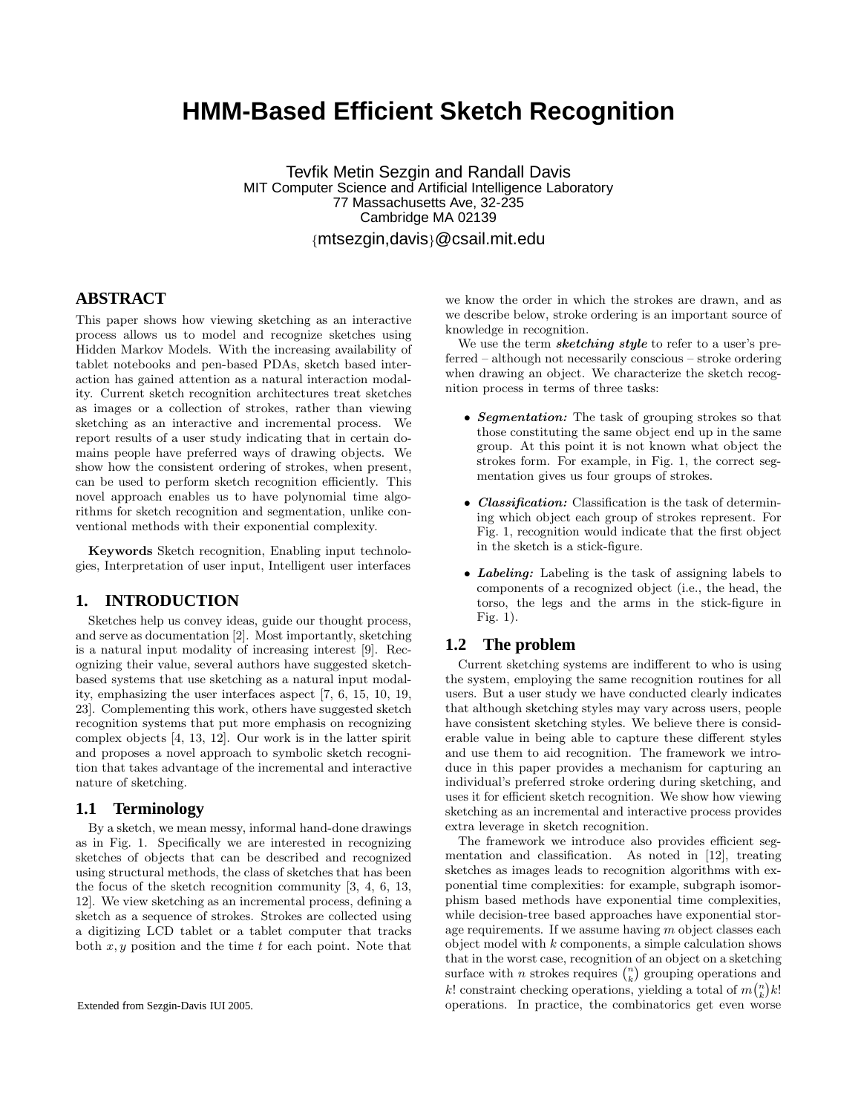# **HMM-Based Efficient Sketch Recognition**

Tevfik Metin Sezgin and Randall Davis MIT Computer Science and Artificial Intelligence Laboratory 77 Massachusetts Ave, 32-235 Cambridge MA 02139 {mtsezgin,davis}@csail.mit.edu

# **ABSTRACT**

This paper shows how viewing sketching as an interactive process allows us to model and recognize sketches using Hidden Markov Models. With the increasing availability of tablet notebooks and pen-based PDAs, sketch based interaction has gained attention as a natural interaction modality. Current sketch recognition architectures treat sketches as images or a collection of strokes, rather than viewing sketching as an interactive and incremental process. We report results of a user study indicating that in certain domains people have preferred ways of drawing objects. We show how the consistent ordering of strokes, when present, can be used to perform sketch recognition efficiently. This novel approach enables us to have polynomial time algorithms for sketch recognition and segmentation, unlike conventional methods with their exponential complexity.

Keywords Sketch recognition, Enabling input technologies, Interpretation of user input, Intelligent user interfaces

# **1. INTRODUCTION**

Sketches help us convey ideas, guide our thought process, and serve as documentation [2]. Most importantly, sketching is a natural input modality of increasing interest [9]. Recognizing their value, several authors have suggested sketchbased systems that use sketching as a natural input modality, emphasizing the user interfaces aspect [7, 6, 15, 10, 19, 23]. Complementing this work, others have suggested sketch recognition systems that put more emphasis on recognizing complex objects [4, 13, 12]. Our work is in the latter spirit and proposes a novel approach to symbolic sketch recognition that takes advantage of the incremental and interactive nature of sketching.

#### **1.1 Terminology**

By a sketch, we mean messy, informal hand-done drawings as in Fig. 1. Specifically we are interested in recognizing sketches of objects that can be described and recognized using structural methods, the class of sketches that has been the focus of the sketch recognition community [3, 4, 6, 13, 12]. We view sketching as an incremental process, defining a sketch as a sequence of strokes. Strokes are collected using a digitizing LCD tablet or a tablet computer that tracks both  $x, y$  position and the time  $t$  for each point. Note that we know the order in which the strokes are drawn, and as we describe below, stroke ordering is an important source of knowledge in recognition.

We use the term **sketching style** to refer to a user's preferred – although not necessarily conscious – stroke ordering when drawing an object. We characterize the sketch recognition process in terms of three tasks:

- Segmentation: The task of grouping strokes so that those constituting the same object end up in the same group. At this point it is not known what object the strokes form. For example, in Fig. 1, the correct segmentation gives us four groups of strokes.
- Classification: Classification is the task of determining which object each group of strokes represent. For Fig. 1, recognition would indicate that the first object in the sketch is a stick-figure.
- Labeling: Labeling is the task of assigning labels to components of a recognized object (i.e., the head, the torso, the legs and the arms in the stick-figure in Fig. 1).

# **1.2 The problem**

Current sketching systems are indifferent to who is using the system, employing the same recognition routines for all users. But a user study we have conducted clearly indicates that although sketching styles may vary across users, people have consistent sketching styles. We believe there is considerable value in being able to capture these different styles and use them to aid recognition. The framework we introduce in this paper provides a mechanism for capturing an individual's preferred stroke ordering during sketching, and uses it for efficient sketch recognition. We show how viewing sketching as an incremental and interactive process provides extra leverage in sketch recognition.

The framework we introduce also provides efficient segmentation and classification. As noted in [12], treating sketches as images leads to recognition algorithms with exponential time complexities: for example, subgraph isomorphism based methods have exponential time complexities, while decision-tree based approaches have exponential storage requirements. If we assume having  $m$  object classes each object model with  $k$  components, a simple calculation shows that in the worst case, recognition of an object on a sketching surface with *n* strokes requires  $\binom{n}{k}$  grouping operations and k! constraint checking operations, yielding a total of  $m\binom{n}{k}k!$ operations. In practice, the combinatorics get even worse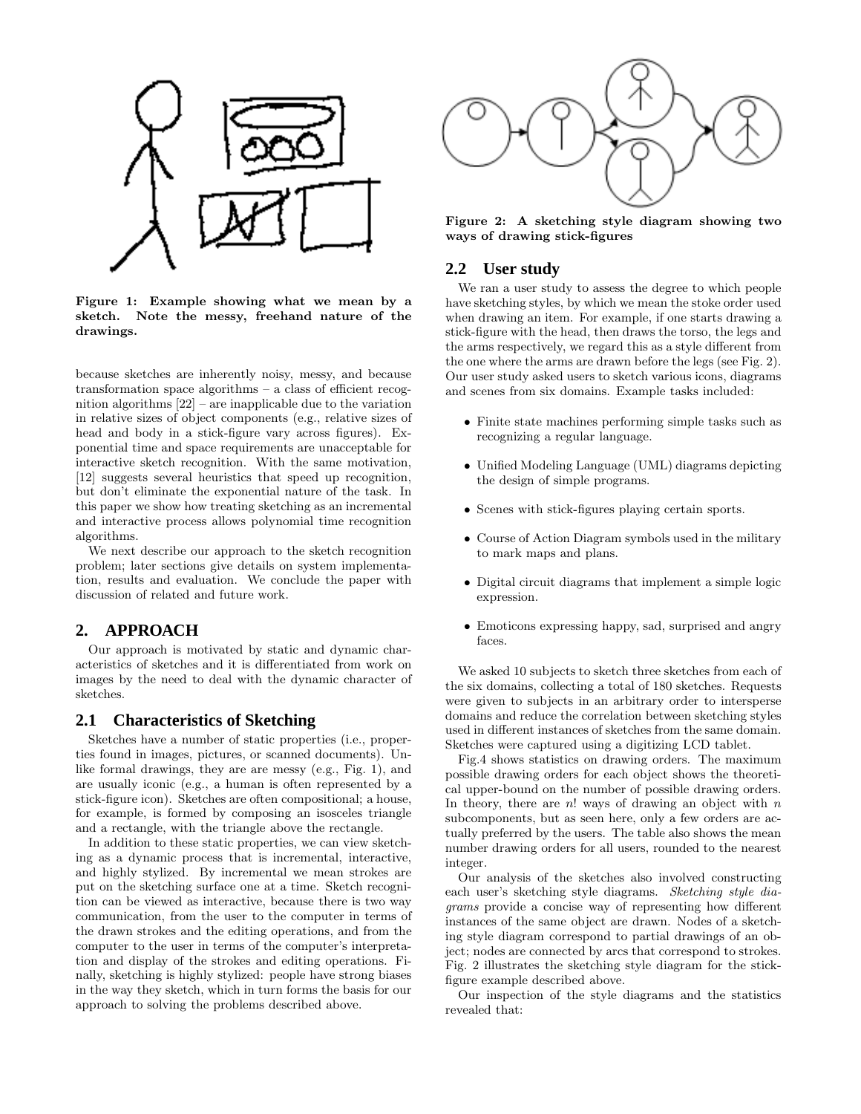

Figure 1: Example showing what we mean by a sketch. Note the messy, freehand nature of the drawings.

because sketches are inherently noisy, messy, and because transformation space algorithms – a class of efficient recognition algorithms [22] – are inapplicable due to the variation in relative sizes of object components (e.g., relative sizes of head and body in a stick-figure vary across figures). Exponential time and space requirements are unacceptable for interactive sketch recognition. With the same motivation, [12] suggests several heuristics that speed up recognition, but don't eliminate the exponential nature of the task. In this paper we show how treating sketching as an incremental and interactive process allows polynomial time recognition algorithms.

We next describe our approach to the sketch recognition problem; later sections give details on system implementation, results and evaluation. We conclude the paper with discussion of related and future work.

# **2. APPROACH**

Our approach is motivated by static and dynamic characteristics of sketches and it is differentiated from work on images by the need to deal with the dynamic character of sketches.

## **2.1 Characteristics of Sketching**

Sketches have a number of static properties (i.e., properties found in images, pictures, or scanned documents). Unlike formal drawings, they are are messy (e.g., Fig. 1), and are usually iconic (e.g., a human is often represented by a stick-figure icon). Sketches are often compositional; a house, for example, is formed by composing an isosceles triangle and a rectangle, with the triangle above the rectangle.

In addition to these static properties, we can view sketching as a dynamic process that is incremental, interactive, and highly stylized. By incremental we mean strokes are put on the sketching surface one at a time. Sketch recognition can be viewed as interactive, because there is two way communication, from the user to the computer in terms of the drawn strokes and the editing operations, and from the computer to the user in terms of the computer's interpretation and display of the strokes and editing operations. Finally, sketching is highly stylized: people have strong biases in the way they sketch, which in turn forms the basis for our approach to solving the problems described above.



Figure 2: A sketching style diagram showing two ways of drawing stick-figures

### **2.2 User study**

We ran a user study to assess the degree to which people have sketching styles, by which we mean the stoke order used when drawing an item. For example, if one starts drawing a stick-figure with the head, then draws the torso, the legs and the arms respectively, we regard this as a style different from the one where the arms are drawn before the legs (see Fig. 2). Our user study asked users to sketch various icons, diagrams and scenes from six domains. Example tasks included:

- Finite state machines performing simple tasks such as recognizing a regular language.
- Unified Modeling Language (UML) diagrams depicting the design of simple programs.
- Scenes with stick-figures playing certain sports.
- Course of Action Diagram symbols used in the military to mark maps and plans.
- Digital circuit diagrams that implement a simple logic expression.
- Emoticons expressing happy, sad, surprised and angry faces.

We asked 10 subjects to sketch three sketches from each of the six domains, collecting a total of 180 sketches. Requests were given to subjects in an arbitrary order to intersperse domains and reduce the correlation between sketching styles used in different instances of sketches from the same domain. Sketches were captured using a digitizing LCD tablet.

Fig.4 shows statistics on drawing orders. The maximum possible drawing orders for each object shows the theoretical upper-bound on the number of possible drawing orders. In theory, there are  $n!$  ways of drawing an object with  $n$ subcomponents, but as seen here, only a few orders are actually preferred by the users. The table also shows the mean number drawing orders for all users, rounded to the nearest integer.

Our analysis of the sketches also involved constructing each user's sketching style diagrams. Sketching style diagrams provide a concise way of representing how different instances of the same object are drawn. Nodes of a sketching style diagram correspond to partial drawings of an object; nodes are connected by arcs that correspond to strokes. Fig. 2 illustrates the sketching style diagram for the stickfigure example described above.

Our inspection of the style diagrams and the statistics revealed that: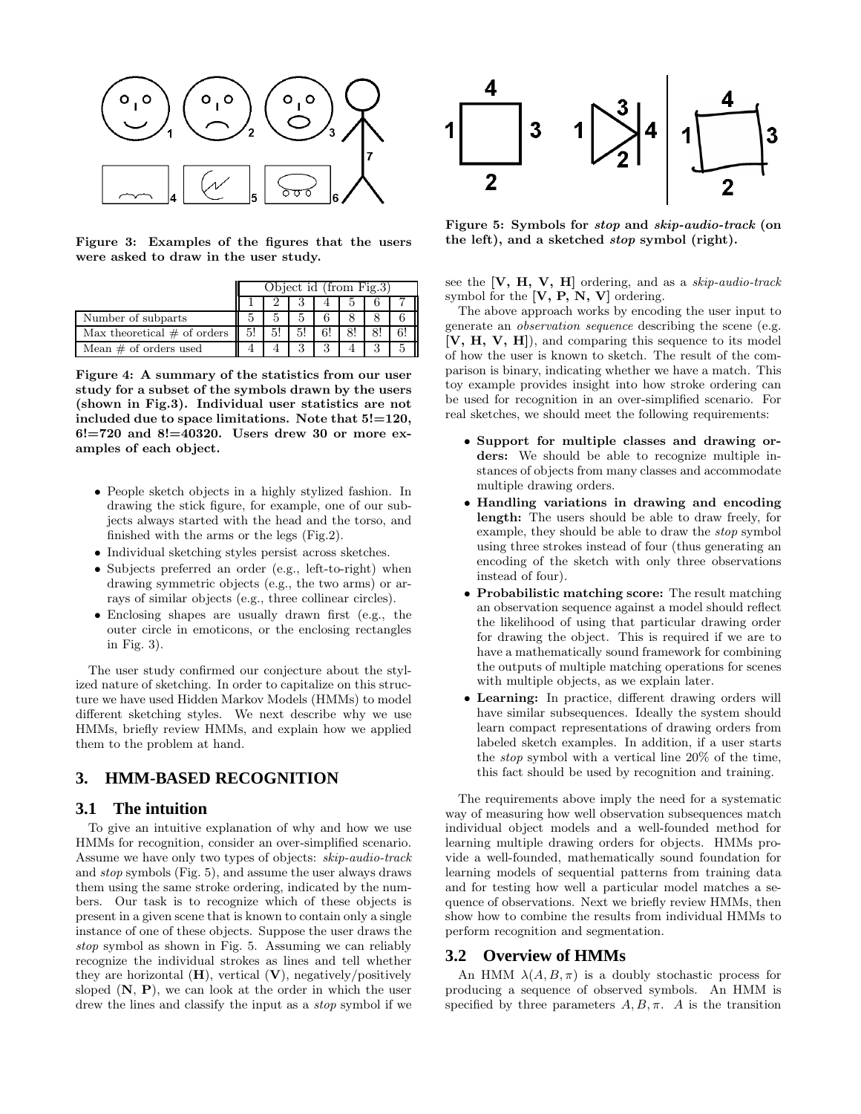

Figure 3: Examples of the figures that the users were asked to draw in the user study.

|                                     | Object id (from Fig.3) |    |  |    |  |  |  |
|-------------------------------------|------------------------|----|--|----|--|--|--|
|                                     |                        |    |  |    |  |  |  |
| Number of subparts                  |                        |    |  |    |  |  |  |
| Max theoretical $\#$ of orders $\ $ | 5!                     | 5! |  | 6! |  |  |  |
| Mean $\#$ of orders used            |                        |    |  |    |  |  |  |

Figure 4: A summary of the statistics from our user study for a subset of the symbols drawn by the users (shown in Fig.3). Individual user statistics are not included due to space limitations. Note that  $5!=120$ ,  $6! = 720$  and  $8! = 40320$ . Users drew 30 or more examples of each object.

- People sketch objects in a highly stylized fashion. In drawing the stick figure, for example, one of our subjects always started with the head and the torso, and finished with the arms or the legs (Fig.2).
- Individual sketching styles persist across sketches.
- Subjects preferred an order (e.g., left-to-right) when drawing symmetric objects (e.g., the two arms) or arrays of similar objects (e.g., three collinear circles).
- Enclosing shapes are usually drawn first (e.g., the outer circle in emoticons, or the enclosing rectangles in Fig. 3).

The user study confirmed our conjecture about the stylized nature of sketching. In order to capitalize on this structure we have used Hidden Markov Models (HMMs) to model different sketching styles. We next describe why we use HMMs, briefly review HMMs, and explain how we applied them to the problem at hand.

## **3. HMM-BASED RECOGNITION**

#### **3.1 The intuition**

To give an intuitive explanation of why and how we use HMMs for recognition, consider an over-simplified scenario. Assume we have only two types of objects: skip-audio-track and stop symbols (Fig. 5), and assume the user always draws them using the same stroke ordering, indicated by the numbers. Our task is to recognize which of these objects is present in a given scene that is known to contain only a single instance of one of these objects. Suppose the user draws the stop symbol as shown in Fig. 5. Assuming we can reliably recognize the individual strokes as lines and tell whether they are horizontal  $(H)$ , vertical  $(V)$ , negatively/positively sloped  $(N, P)$ , we can look at the order in which the user drew the lines and classify the input as a *stop* symbol if we



Figure 5: Symbols for stop and skip-audio-track (on the left), and a sketched stop symbol (right).

see the  $[V, H, V, H]$  ordering, and as a skip-audio-track symbol for the  $[V, P, N, V]$  ordering.

The above approach works by encoding the user input to generate an observation sequence describing the scene (e.g.  $[V, H, V, H]$ , and comparing this sequence to its model of how the user is known to sketch. The result of the comparison is binary, indicating whether we have a match. This toy example provides insight into how stroke ordering can be used for recognition in an over-simplified scenario. For real sketches, we should meet the following requirements:

- Support for multiple classes and drawing orders: We should be able to recognize multiple instances of objects from many classes and accommodate multiple drawing orders.
- Handling variations in drawing and encoding length: The users should be able to draw freely, for example, they should be able to draw the stop symbol using three strokes instead of four (thus generating an encoding of the sketch with only three observations instead of four).
- Probabilistic matching score: The result matching an observation sequence against a model should reflect the likelihood of using that particular drawing order for drawing the object. This is required if we are to have a mathematically sound framework for combining the outputs of multiple matching operations for scenes with multiple objects, as we explain later.
- Learning: In practice, different drawing orders will have similar subsequences. Ideally the system should learn compact representations of drawing orders from labeled sketch examples. In addition, if a user starts the stop symbol with a vertical line 20% of the time, this fact should be used by recognition and training.

The requirements above imply the need for a systematic way of measuring how well observation subsequences match individual object models and a well-founded method for learning multiple drawing orders for objects. HMMs provide a well-founded, mathematically sound foundation for learning models of sequential patterns from training data and for testing how well a particular model matches a sequence of observations. Next we briefly review HMMs, then show how to combine the results from individual HMMs to perform recognition and segmentation.

#### **3.2 Overview of HMMs**

An HMM  $\lambda(A, B, \pi)$  is a doubly stochastic process for producing a sequence of observed symbols. An HMM is specified by three parameters  $A, B, \pi$ . A is the transition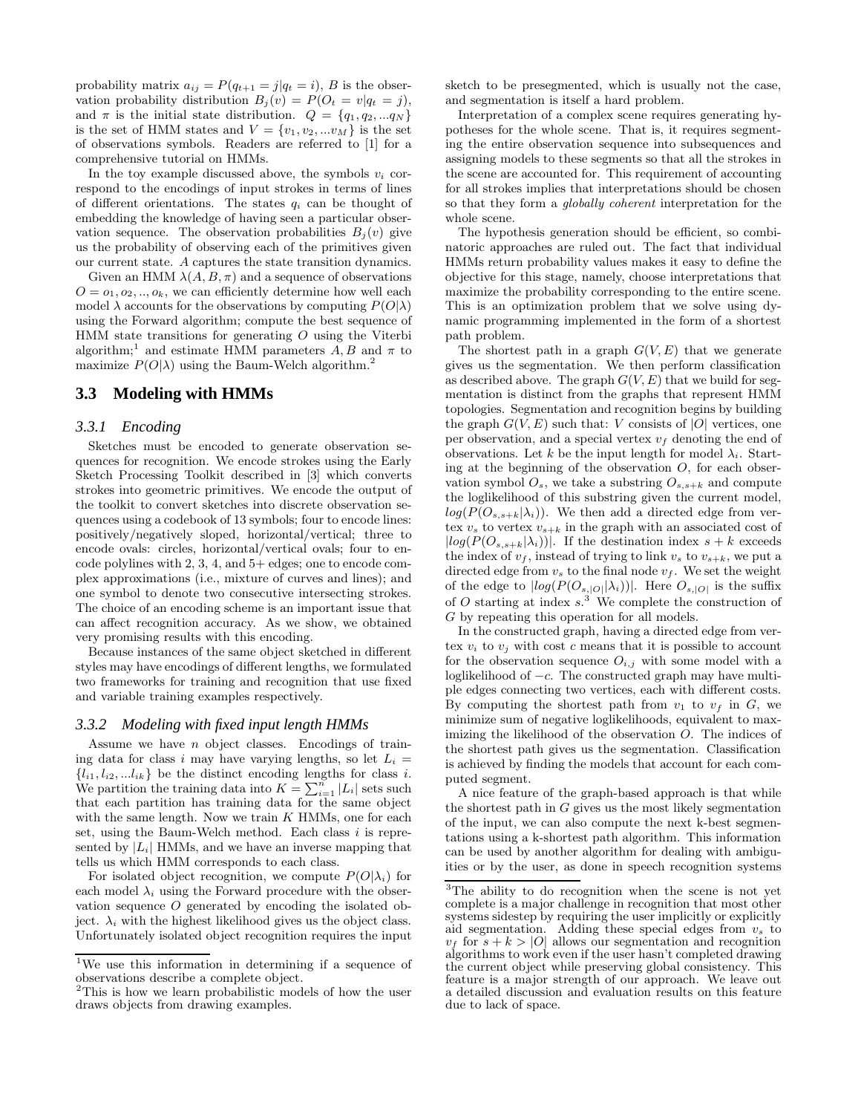probability matrix  $a_{ij} = P(q_{t+1} = j | q_t = i)$ , B is the observation probability distribution  $B_j(v) = P(O_t = v | q_t = j),$ and  $\pi$  is the initial state distribution.  $Q = \{q_1, q_2, ... q_N\}$ is the set of HMM states and  $V = \{v_1, v_2, ... v_M\}$  is the set of observations symbols. Readers are referred to [1] for a comprehensive tutorial on HMMs.

In the toy example discussed above, the symbols  $v_i$  correspond to the encodings of input strokes in terms of lines of different orientations. The states  $q_i$  can be thought of embedding the knowledge of having seen a particular observation sequence. The observation probabilities  $B_i(v)$  give us the probability of observing each of the primitives given our current state. A captures the state transition dynamics.

Given an HMM  $\lambda(A, B, \pi)$  and a sequence of observations  $O = 0_1, 0_2, ..., 0_k$ , we can efficiently determine how well each model  $\lambda$  accounts for the observations by computing  $P(O|\lambda)$ using the Forward algorithm; compute the best sequence of  $HMM$  state transitions for generating  $O$  using the Viterbi algorithm;<sup>1</sup> and estimate HMM parameters  $\overline{A}$ ,  $\overline{B}$  and  $\pi$  to maximize  $P(O|\lambda)$  using the Baum-Welch algorithm.<sup>2</sup>

# **3.3 Modeling with HMMs**

#### *3.3.1 Encoding*

Sketches must be encoded to generate observation sequences for recognition. We encode strokes using the Early Sketch Processing Toolkit described in [3] which converts strokes into geometric primitives. We encode the output of the toolkit to convert sketches into discrete observation sequences using a codebook of 13 symbols; four to encode lines: positively/negatively sloped, horizontal/vertical; three to encode ovals: circles, horizontal/vertical ovals; four to encode polylines with 2, 3, 4, and 5+ edges; one to encode complex approximations (i.e., mixture of curves and lines); and one symbol to denote two consecutive intersecting strokes. The choice of an encoding scheme is an important issue that can affect recognition accuracy. As we show, we obtained very promising results with this encoding.

Because instances of the same object sketched in different styles may have encodings of different lengths, we formulated two frameworks for training and recognition that use fixed and variable training examples respectively.

#### *3.3.2 Modeling with fixed input length HMMs*

Assume we have  $n$  object classes. Encodings of training data for class i may have varying lengths, so let  $L_i =$  ${l_{i1}, l_{i2}, ... l_{ik}}$  be the distinct encoding lengths for class *i*. We partition the training data into  $K = \sum_{i=1}^{n} |L_i|$  sets such that each partition has training data for the same object with the same length. Now we train  $K$  HMMs, one for each set, using the Baum-Welch method. Each class  $i$  is represented by  $|L_i|$  HMMs, and we have an inverse mapping that tells us which HMM corresponds to each class.

For isolated object recognition, we compute  $P(O|\lambda_i)$  for each model  $\lambda_i$  using the Forward procedure with the observation sequence O generated by encoding the isolated object.  $\lambda_i$  with the highest likelihood gives us the object class. Unfortunately isolated object recognition requires the input sketch to be presegmented, which is usually not the case, and segmentation is itself a hard problem.

Interpretation of a complex scene requires generating hypotheses for the whole scene. That is, it requires segmenting the entire observation sequence into subsequences and assigning models to these segments so that all the strokes in the scene are accounted for. This requirement of accounting for all strokes implies that interpretations should be chosen so that they form a globally coherent interpretation for the whole scene.

The hypothesis generation should be efficient, so combinatoric approaches are ruled out. The fact that individual HMMs return probability values makes it easy to define the objective for this stage, namely, choose interpretations that maximize the probability corresponding to the entire scene. This is an optimization problem that we solve using dynamic programming implemented in the form of a shortest path problem.

The shortest path in a graph  $G(V, E)$  that we generate gives us the segmentation. We then perform classification as described above. The graph  $G(V, E)$  that we build for segmentation is distinct from the graphs that represent HMM topologies. Segmentation and recognition begins by building the graph  $G(V, E)$  such that: V consists of  $|O|$  vertices, one per observation, and a special vertex  $v_f$  denoting the end of observations. Let k be the input length for model  $\lambda_i$ . Starting at the beginning of the observation  $O$ , for each observation symbol  $O_s$ , we take a substring  $O_{s,s+k}$  and compute the loglikelihood of this substring given the current model,  $log(P(O_{s,s+k}|\lambda_i))$ . We then add a directed edge from vertex  $v_s$  to vertex  $v_{s+k}$  in the graph with an associated cost of  $|log(P(O_{s,s+k}|\lambda_i))|$ . If the destination index  $s + k$  exceeds the index of  $v_f$ , instead of trying to link  $v_s$  to  $v_{s+k}$ , we put a directed edge from  $v_s$  to the final node  $v_f$ . We set the weight of the edge to  $|log(P(O_{s, |O|}|\lambda_i))|$ . Here  $O_{s, |O|}$  is the suffix of  $O$  starting at index  $s$ .<sup>3</sup> We complete the construction of G by repeating this operation for all models.

In the constructed graph, having a directed edge from vertex  $v_i$  to  $v_j$  with cost c means that it is possible to account for the observation sequence  $O_{i,j}$  with some model with a loglikelihood of −c. The constructed graph may have multiple edges connecting two vertices, each with different costs. By computing the shortest path from  $v_1$  to  $v_f$  in  $G$ , we minimize sum of negative loglikelihoods, equivalent to maximizing the likelihood of the observation O. The indices of the shortest path gives us the segmentation. Classification is achieved by finding the models that account for each computed segment.

A nice feature of the graph-based approach is that while the shortest path in  $G$  gives us the most likely segmentation of the input, we can also compute the next k-best segmentations using a k-shortest path algorithm. This information can be used by another algorithm for dealing with ambiguities or by the user, as done in speech recognition systems

<sup>1</sup>We use this information in determining if a sequence of observations describe a complete object.

<sup>2</sup>This is how we learn probabilistic models of how the user draws objects from drawing examples.

<sup>&</sup>lt;sup>3</sup>The ability to do recognition when the scene is not yet complete is a major challenge in recognition that most other systems sidestep by requiring the user implicitly or explicitly aid segmentation. Adding these special edges from  $v<sub>s</sub>$  to  $v_f$  for  $s + k > |O|$  allows our segmentation and recognition algorithms to work even if the user hasn't completed drawing the current object while preserving global consistency. This feature is a major strength of our approach. We leave out a detailed discussion and evaluation results on this feature due to lack of space.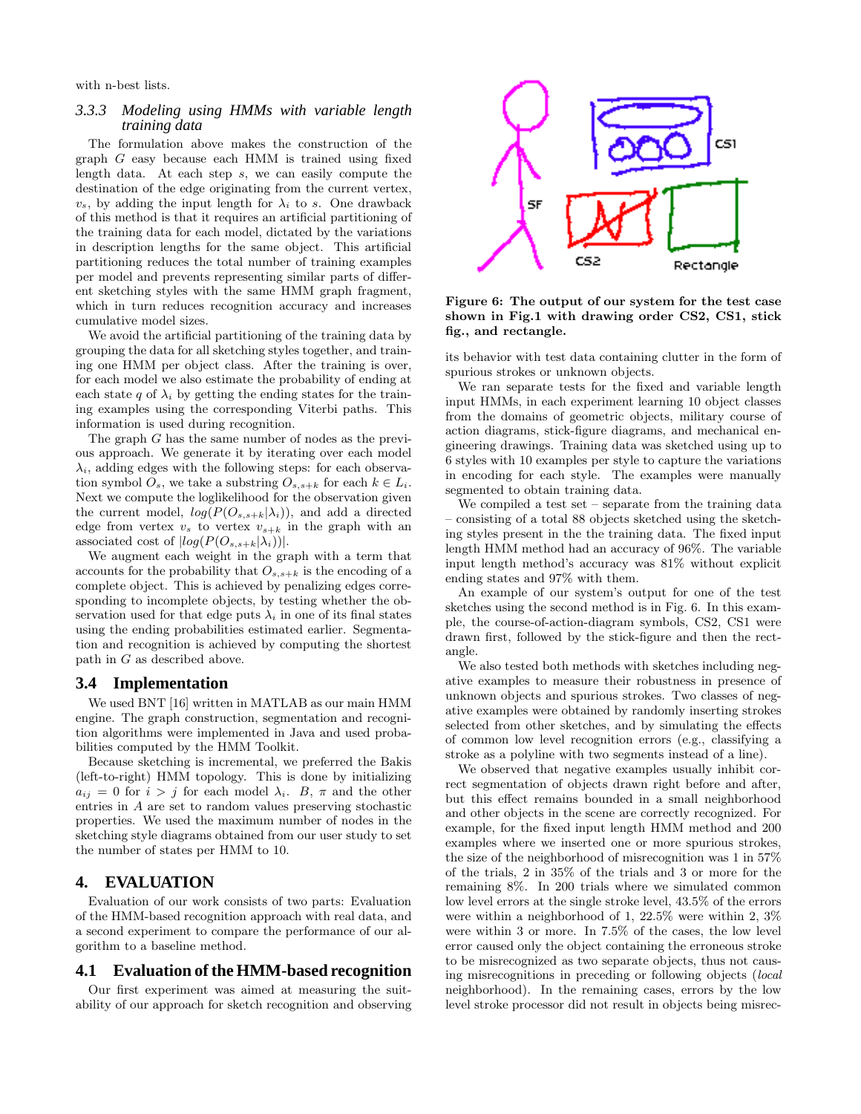with n-best lists.

#### *3.3.3 Modeling using HMMs with variable length training data*

The formulation above makes the construction of the graph G easy because each HMM is trained using fixed length data. At each step s, we can easily compute the destination of the edge originating from the current vertex,  $v_s$ , by adding the input length for  $\lambda_i$  to s. One drawback of this method is that it requires an artificial partitioning of the training data for each model, dictated by the variations in description lengths for the same object. This artificial partitioning reduces the total number of training examples per model and prevents representing similar parts of different sketching styles with the same HMM graph fragment, which in turn reduces recognition accuracy and increases cumulative model sizes.

We avoid the artificial partitioning of the training data by grouping the data for all sketching styles together, and training one HMM per object class. After the training is over, for each model we also estimate the probability of ending at each state q of  $\lambda_i$  by getting the ending states for the training examples using the corresponding Viterbi paths. This information is used during recognition.

The graph G has the same number of nodes as the previous approach. We generate it by iterating over each model  $\lambda_i$ , adding edges with the following steps: for each observation symbol  $\overline{O}_s$ , we take a substring  $O_{s,s+k}$  for each  $k \in L_i$ . Next we compute the loglikelihood for the observation given the current model,  $log(P(O_{s,s+k}|\lambda_i))$ , and add a directed edge from vertex  $v_s$  to vertex  $v_{s+k}$  in the graph with an associated cost of  $|log(P(O_{s,s+k}|\lambda_i))|$ .

We augment each weight in the graph with a term that accounts for the probability that  $O_{s,s+k}$  is the encoding of a complete object. This is achieved by penalizing edges corresponding to incomplete objects, by testing whether the observation used for that edge puts  $\lambda_i$  in one of its final states using the ending probabilities estimated earlier. Segmentation and recognition is achieved by computing the shortest path in G as described above.

#### **3.4 Implementation**

We used BNT [16] written in MATLAB as our main HMM engine. The graph construction, segmentation and recognition algorithms were implemented in Java and used probabilities computed by the HMM Toolkit.

Because sketching is incremental, we preferred the Bakis (left-to-right) HMM topology. This is done by initializing  $a_{ij} = 0$  for  $i > j$  for each model  $\lambda_i$ . B,  $\pi$  and the other entries in A are set to random values preserving stochastic properties. We used the maximum number of nodes in the sketching style diagrams obtained from our user study to set the number of states per HMM to 10.

# **4. EVALUATION**

Evaluation of our work consists of two parts: Evaluation of the HMM-based recognition approach with real data, and a second experiment to compare the performance of our algorithm to a baseline method.

#### **4.1 Evaluation of the HMM-based recognition**

Our first experiment was aimed at measuring the suitability of our approach for sketch recognition and observing



Figure 6: The output of our system for the test case shown in Fig.1 with drawing order CS2, CS1, stick fig., and rectangle.

its behavior with test data containing clutter in the form of spurious strokes or unknown objects.

We ran separate tests for the fixed and variable length input HMMs, in each experiment learning 10 object classes from the domains of geometric objects, military course of action diagrams, stick-figure diagrams, and mechanical engineering drawings. Training data was sketched using up to 6 styles with 10 examples per style to capture the variations in encoding for each style. The examples were manually segmented to obtain training data.

We compiled a test set – separate from the training data – consisting of a total 88 objects sketched using the sketching styles present in the the training data. The fixed input length HMM method had an accuracy of 96%. The variable input length method's accuracy was 81% without explicit ending states and 97% with them.

An example of our system's output for one of the test sketches using the second method is in Fig. 6. In this example, the course-of-action-diagram symbols, CS2, CS1 were drawn first, followed by the stick-figure and then the rectangle.

We also tested both methods with sketches including negative examples to measure their robustness in presence of unknown objects and spurious strokes. Two classes of negative examples were obtained by randomly inserting strokes selected from other sketches, and by simulating the effects of common low level recognition errors (e.g., classifying a stroke as a polyline with two segments instead of a line).

We observed that negative examples usually inhibit correct segmentation of objects drawn right before and after, but this effect remains bounded in a small neighborhood and other objects in the scene are correctly recognized. For example, for the fixed input length HMM method and 200 examples where we inserted one or more spurious strokes, the size of the neighborhood of misrecognition was 1 in 57% of the trials, 2 in 35% of the trials and 3 or more for the remaining 8%. In 200 trials where we simulated common low level errors at the single stroke level, 43.5% of the errors were within a neighborhood of 1, 22.5% were within 2, 3% were within 3 or more. In 7.5% of the cases, the low level error caused only the object containing the erroneous stroke to be misrecognized as two separate objects, thus not causing misrecognitions in preceding or following objects (local neighborhood). In the remaining cases, errors by the low level stroke processor did not result in objects being misrec-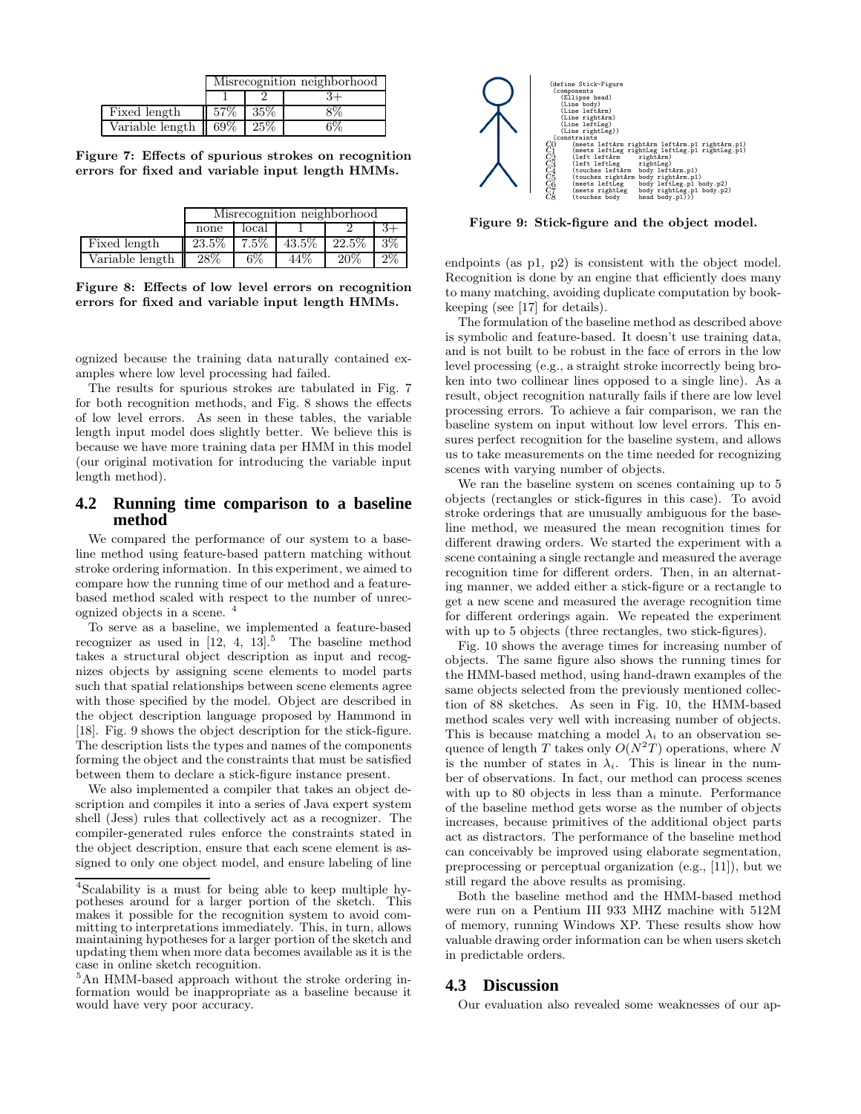|                                                 | Misrecognition neighborhood |        |  |  |  |  |  |  |
|-------------------------------------------------|-----------------------------|--------|--|--|--|--|--|--|
|                                                 |                             |        |  |  |  |  |  |  |
| Fixed length                                    | 57\%                        | $35\%$ |  |  |  |  |  |  |
| Variable length $\parallel$ 69% $\parallel$ 25% |                             |        |  |  |  |  |  |  |

Figure 7: Effects of spurious strokes on recognition errors for fixed and variable input length HMMs.

|                 | Misrecognition neighborhood |         |          |        |       |  |  |  |
|-----------------|-----------------------------|---------|----------|--------|-------|--|--|--|
|                 | none                        | local   |          |        |       |  |  |  |
| Fixed length    | $23.5\%$                    | $7.5\%$ | $43.5\%$ | 22.5\% | $3\%$ |  |  |  |
| Variable length | $28\%$                      | 6%      | 44%      | 20%    | $2\%$ |  |  |  |

Figure 8: Effects of low level errors on recognition errors for fixed and variable input length HMMs.

ognized because the training data naturally contained examples where low level processing had failed.

The results for spurious strokes are tabulated in Fig. 7 for both recognition methods, and Fig. 8 shows the effects of low level errors. As seen in these tables, the variable length input model does slightly better. We believe this is because we have more training data per HMM in this model (our original motivation for introducing the variable input length method).

# **4.2 Running time comparison to a baseline method**

We compared the performance of our system to a baseline method using feature-based pattern matching without stroke ordering information. In this experiment, we aimed to compare how the running time of our method and a featurebased method scaled with respect to the number of unrecognized objects in a scene. <sup>4</sup>

To serve as a baseline, we implemented a feature-based recognizer as used in  $[12, 4, 13]$ <sup>5</sup>. The baseline method takes a structural object description as input and recognizes objects by assigning scene elements to model parts such that spatial relationships between scene elements agree with those specified by the model. Object are described in the object description language proposed by Hammond in [18]. Fig. 9 shows the object description for the stick-figure. The description lists the types and names of the components forming the object and the constraints that must be satisfied between them to declare a stick-figure instance present.

We also implemented a compiler that takes an object description and compiles it into a series of Java expert system shell (Jess) rules that collectively act as a recognizer. The compiler-generated rules enforce the constraints stated in the object description, ensure that each scene element is assigned to only one object model, and ensure labeling of line



Figure 9: Stick-figure and the object model.

endpoints (as p1, p2) is consistent with the object model. Recognition is done by an engine that efficiently does many to many matching, avoiding duplicate computation by bookkeeping (see [17] for details).

The formulation of the baseline method as described above is symbolic and feature-based. It doesn't use training data, and is not built to be robust in the face of errors in the low level processing (e.g., a straight stroke incorrectly being broken into two collinear lines opposed to a single line). As a result, object recognition naturally fails if there are low level processing errors. To achieve a fair comparison, we ran the baseline system on input without low level errors. This ensures perfect recognition for the baseline system, and allows us to take measurements on the time needed for recognizing scenes with varying number of objects.

We ran the baseline system on scenes containing up to 5 objects (rectangles or stick-figures in this case). To avoid stroke orderings that are unusually ambiguous for the baseline method, we measured the mean recognition times for different drawing orders. We started the experiment with a scene containing a single rectangle and measured the average recognition time for different orders. Then, in an alternating manner, we added either a stick-figure or a rectangle to get a new scene and measured the average recognition time for different orderings again. We repeated the experiment with up to 5 objects (three rectangles, two stick-figures).

Fig. 10 shows the average times for increasing number of objects. The same figure also shows the running times for the HMM-based method, using hand-drawn examples of the same objects selected from the previously mentioned collection of 88 sketches. As seen in Fig. 10, the HMM-based method scales very well with increasing number of objects. This is because matching a model  $\lambda_i$  to an observation sequence of length T takes only  $O(N^2T)$  operations, where N is the number of states in  $\lambda_i$ . This is linear in the number of observations. In fact, our method can process scenes with up to 80 objects in less than a minute. Performance of the baseline method gets worse as the number of objects increases, because primitives of the additional object parts act as distractors. The performance of the baseline method can conceivably be improved using elaborate segmentation, preprocessing or perceptual organization (e.g., [11]), but we still regard the above results as promising.

Both the baseline method and the HMM-based method were run on a Pentium III 933 MHZ machine with 512M of memory, running Windows XP. These results show how valuable drawing order information can be when users sketch in predictable orders.

## **4.3 Discussion**

Our evaluation also revealed some weaknesses of our ap-

<sup>4</sup> Scalability is a must for being able to keep multiple hypotheses around for a larger portion of the sketch. This makes it possible for the recognition system to avoid committing to interpretations immediately. This, in turn, allows maintaining hypotheses for a larger portion of the sketch and updating them when more data becomes available as it is the case in online sketch recognition.

<sup>5</sup>An HMM-based approach without the stroke ordering information would be inappropriate as a baseline because it would have very poor accuracy.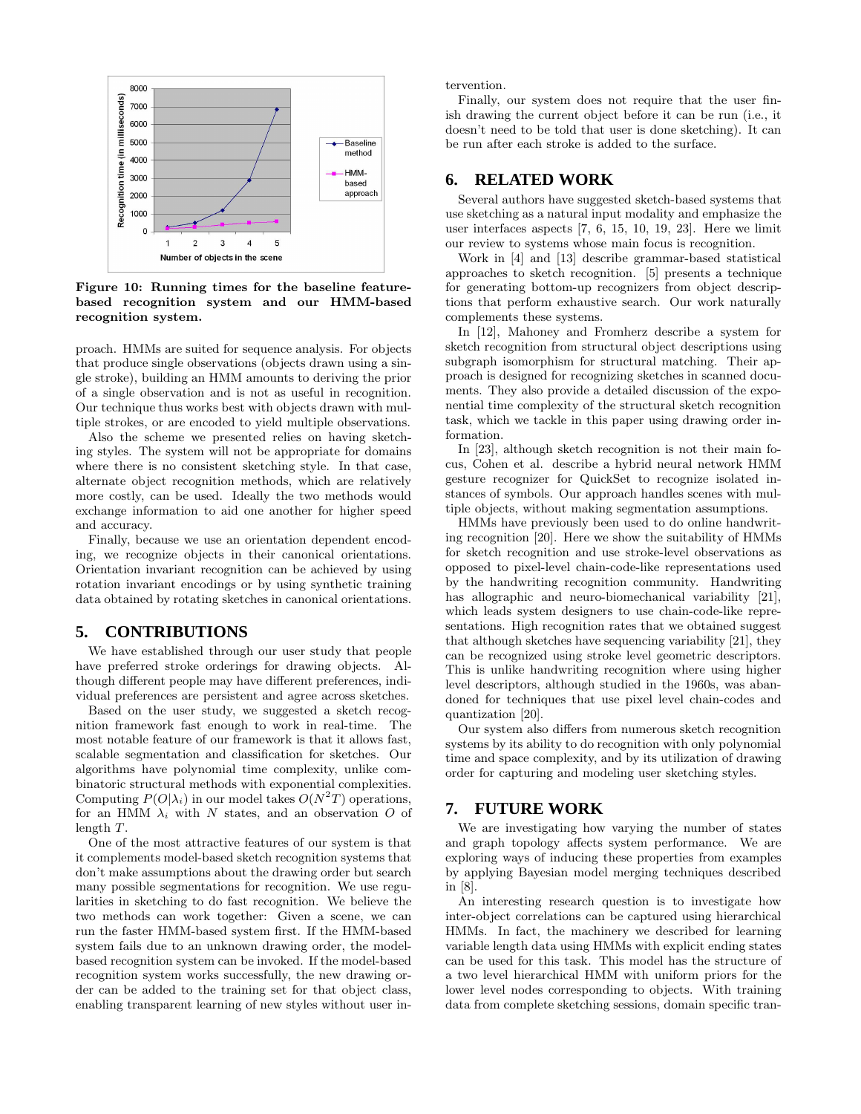

Figure 10: Running times for the baseline featurebased recognition system and our HMM-based recognition system.

proach. HMMs are suited for sequence analysis. For objects that produce single observations (objects drawn using a single stroke), building an HMM amounts to deriving the prior of a single observation and is not as useful in recognition. Our technique thus works best with objects drawn with multiple strokes, or are encoded to yield multiple observations.

Also the scheme we presented relies on having sketching styles. The system will not be appropriate for domains where there is no consistent sketching style. In that case, alternate object recognition methods, which are relatively more costly, can be used. Ideally the two methods would exchange information to aid one another for higher speed and accuracy.

Finally, because we use an orientation dependent encoding, we recognize objects in their canonical orientations. Orientation invariant recognition can be achieved by using rotation invariant encodings or by using synthetic training data obtained by rotating sketches in canonical orientations.

#### **5. CONTRIBUTIONS**

We have established through our user study that people have preferred stroke orderings for drawing objects. Although different people may have different preferences, individual preferences are persistent and agree across sketches.

Based on the user study, we suggested a sketch recognition framework fast enough to work in real-time. The most notable feature of our framework is that it allows fast, scalable segmentation and classification for sketches. Our algorithms have polynomial time complexity, unlike combinatoric structural methods with exponential complexities. Computing  $P(O|\lambda_i)$  in our model takes  $O(N^2T)$  operations, for an HMM  $\lambda_i$  with N states, and an observation O of length T.

One of the most attractive features of our system is that it complements model-based sketch recognition systems that don't make assumptions about the drawing order but search many possible segmentations for recognition. We use regularities in sketching to do fast recognition. We believe the two methods can work together: Given a scene, we can run the faster HMM-based system first. If the HMM-based system fails due to an unknown drawing order, the modelbased recognition system can be invoked. If the model-based recognition system works successfully, the new drawing order can be added to the training set for that object class, enabling transparent learning of new styles without user intervention.

Finally, our system does not require that the user finish drawing the current object before it can be run (i.e., it doesn't need to be told that user is done sketching). It can be run after each stroke is added to the surface.

# **6. RELATED WORK**

Several authors have suggested sketch-based systems that use sketching as a natural input modality and emphasize the user interfaces aspects [7, 6, 15, 10, 19, 23]. Here we limit our review to systems whose main focus is recognition.

Work in [4] and [13] describe grammar-based statistical approaches to sketch recognition. [5] presents a technique for generating bottom-up recognizers from object descriptions that perform exhaustive search. Our work naturally complements these systems.

In [12], Mahoney and Fromherz describe a system for sketch recognition from structural object descriptions using subgraph isomorphism for structural matching. Their approach is designed for recognizing sketches in scanned documents. They also provide a detailed discussion of the exponential time complexity of the structural sketch recognition task, which we tackle in this paper using drawing order information.

In [23], although sketch recognition is not their main focus, Cohen et al. describe a hybrid neural network HMM gesture recognizer for QuickSet to recognize isolated instances of symbols. Our approach handles scenes with multiple objects, without making segmentation assumptions.

HMMs have previously been used to do online handwriting recognition [20]. Here we show the suitability of HMMs for sketch recognition and use stroke-level observations as opposed to pixel-level chain-code-like representations used by the handwriting recognition community. Handwriting has allographic and neuro-biomechanical variability [21], which leads system designers to use chain-code-like representations. High recognition rates that we obtained suggest that although sketches have sequencing variability [21], they can be recognized using stroke level geometric descriptors. This is unlike handwriting recognition where using higher level descriptors, although studied in the 1960s, was abandoned for techniques that use pixel level chain-codes and quantization [20].

Our system also differs from numerous sketch recognition systems by its ability to do recognition with only polynomial time and space complexity, and by its utilization of drawing order for capturing and modeling user sketching styles.

## **7. FUTURE WORK**

We are investigating how varying the number of states and graph topology affects system performance. We are exploring ways of inducing these properties from examples by applying Bayesian model merging techniques described in [8].

An interesting research question is to investigate how inter-object correlations can be captured using hierarchical HMMs. In fact, the machinery we described for learning variable length data using HMMs with explicit ending states can be used for this task. This model has the structure of a two level hierarchical HMM with uniform priors for the lower level nodes corresponding to objects. With training data from complete sketching sessions, domain specific tran